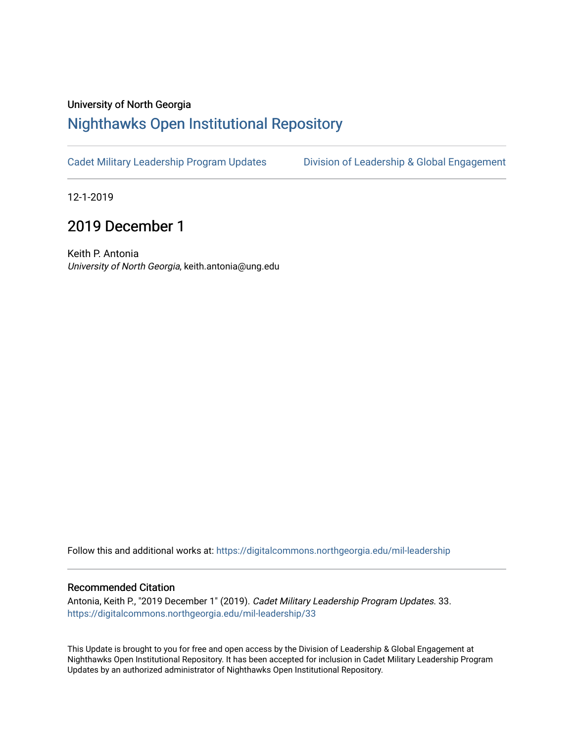## University of North Georgia

## [Nighthawks Open Institutional Repository](https://digitalcommons.northgeorgia.edu/)

[Cadet Military Leadership Program Updates](https://digitalcommons.northgeorgia.edu/mil-leadership) [Division of Leadership & Global Engagement](https://digitalcommons.northgeorgia.edu/leadership) 

12-1-2019

## 2019 December 1

Keith P. Antonia University of North Georgia, keith.antonia@ung.edu

Follow this and additional works at: [https://digitalcommons.northgeorgia.edu/mil-leadership](https://digitalcommons.northgeorgia.edu/mil-leadership?utm_source=digitalcommons.northgeorgia.edu%2Fmil-leadership%2F33&utm_medium=PDF&utm_campaign=PDFCoverPages) 

## Recommended Citation

Antonia, Keith P., "2019 December 1" (2019). Cadet Military Leadership Program Updates. 33. [https://digitalcommons.northgeorgia.edu/mil-leadership/33](https://digitalcommons.northgeorgia.edu/mil-leadership/33?utm_source=digitalcommons.northgeorgia.edu%2Fmil-leadership%2F33&utm_medium=PDF&utm_campaign=PDFCoverPages)

This Update is brought to you for free and open access by the Division of Leadership & Global Engagement at Nighthawks Open Institutional Repository. It has been accepted for inclusion in Cadet Military Leadership Program Updates by an authorized administrator of Nighthawks Open Institutional Repository.